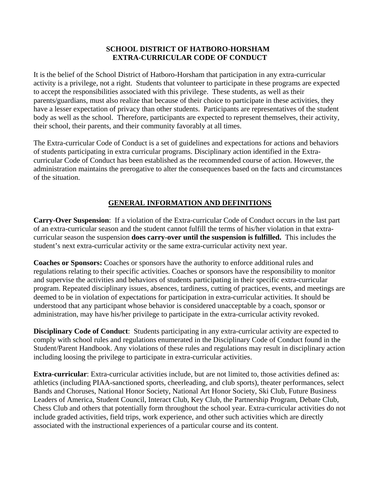## **SCHOOL DISTRICT OF HATBORO-HORSHAM EXTRA-CURRICULAR CODE OF CONDUCT**

It is the belief of the School District of Hatboro-Horsham that participation in any extra-curricular activity is a privilege, not a right. Students that volunteer to participate in these programs are expected to accept the responsibilities associated with this privilege. These students, as well as their parents/guardians, must also realize that because of their choice to participate in these activities, they have a lesser expectation of privacy than other students. Participants are representatives of the student body as well as the school. Therefore, participants are expected to represent themselves, their activity, their school, their parents, and their community favorably at all times.

The Extra-curricular Code of Conduct is a set of guidelines and expectations for actions and behaviors of students participating in extra curricular programs. Disciplinary action identified in the Extracurricular Code of Conduct has been established as the recommended course of action. However, the administration maintains the prerogative to alter the consequences based on the facts and circumstances of the situation.

## **GENERAL INFORMATION AND DEFINITIONS**

**Carry-Over Suspension**: If a violation of the Extra-curricular Code of Conduct occurs in the last part of an extra-curricular season and the student cannot fulfill the terms of his/her violation in that extracurricular season the suspension **does carry-over until the suspension is fulfilled.** This includes the student's next extra-curricular activity or the same extra-curricular activity next year.

**Coaches or Sponsors:** Coaches or sponsors have the authority to enforce additional rules and regulations relating to their specific activities. Coaches or sponsors have the responsibility to monitor and supervise the activities and behaviors of students participating in their specific extra-curricular program. Repeated disciplinary issues, absences, tardiness, cutting of practices, events, and meetings are deemed to be in violation of expectations for participation in extra-curricular activities. It should be understood that any participant whose behavior is considered unacceptable by a coach, sponsor or administration, may have his/her privilege to participate in the extra-curricular activity revoked.

**Disciplinary Code of Conduct**: Students participating in any extra-curricular activity are expected to comply with school rules and regulations enumerated in the Disciplinary Code of Conduct found in the Student/Parent Handbook. Any violations of these rules and regulations may result in disciplinary action including loosing the privilege to participate in extra-curricular activities.

**Extra-curricular**: Extra-curricular activities include, but are not limited to, those activities defined as: athletics (including PIAA-sanctioned sports, cheerleading, and club sports), theater performances, select Bands and Choruses, National Honor Society, National Art Honor Society, Ski Club, Future Business Leaders of America, Student Council, Interact Club, Key Club, the Partnership Program, Debate Club, Chess Club and others that potentially form throughout the school year. Extra-curricular activities do not include graded activities, field trips, work experience, and other such activities which are directly associated with the instructional experiences of a particular course and its content.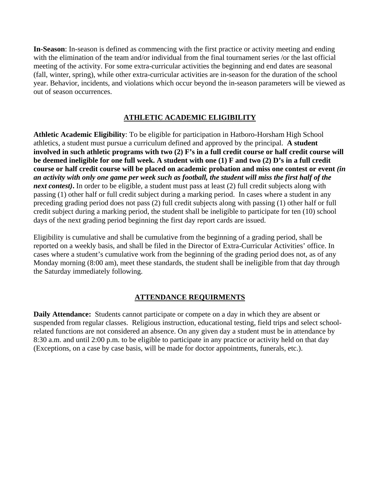**In-Season**: In-season is defined as commencing with the first practice or activity meeting and ending with the elimination of the team and/or individual from the final tournament series /or the last official meeting of the activity. For some extra-curricular activities the beginning and end dates are seasonal (fall, winter, spring), while other extra-curricular activities are in-season for the duration of the school year. Behavior, incidents, and violations which occur beyond the in-season parameters will be viewed as out of season occurrences.

## **ATHLETIC ACADEMIC ELIGIBILITY**

**Athletic Academic Eligibility**: To be eligible for participation in Hatboro-Horsham High School athletics, a student must pursue a curriculum defined and approved by the principal. **A student involved in such athletic programs with two (2) F's in a full credit course or half credit course will be deemed ineligible for one full week. A student with one (1) F and two (2) D's in a full credit course or half credit course will be placed on academic probation and miss one contest or event** *(in an activity with only one game per week such as football, the student will miss the first half of the next contest)***.** In order to be eligible, a student must pass at least (2) full credit subjects along with passing (1) other half or full credit subject during a marking period. In cases where a student in any preceding grading period does not pass (2) full credit subjects along with passing (1) other half or full credit subject during a marking period, the student shall be ineligible to participate for ten (10) school days of the next grading period beginning the first day report cards are issued.

Eligibility is cumulative and shall be cumulative from the beginning of a grading period, shall be reported on a weekly basis, and shall be filed in the Director of Extra-Curricular Activities' office. In cases where a student's cumulative work from the beginning of the grading period does not, as of any Monday morning (8:00 am), meet these standards, the student shall be ineligible from that day through the Saturday immediately following.

## **ATTENDANCE REQUIRMENTS**

**Daily Attendance:** Students cannot participate or compete on a day in which they are absent or suspended from regular classes. Religious instruction, educational testing, field trips and select schoolrelated functions are not considered an absence. On any given day a student must be in attendance by 8:30 a.m. and until 2:00 p.m. to be eligible to participate in any practice or activity held on that day (Exceptions, on a case by case basis, will be made for doctor appointments, funerals, etc.).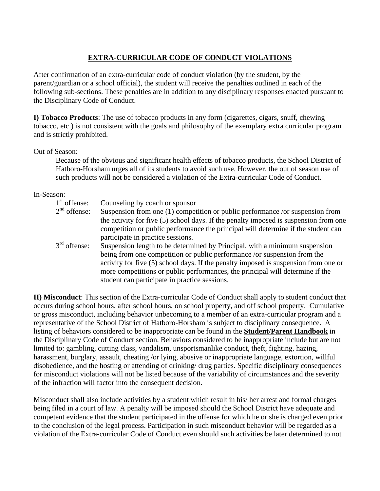# **EXTRA-CURRICULAR CODE OF CONDUCT VIOLATIONS**

After confirmation of an extra-curricular code of conduct violation (by the student, by the parent/guardian or a school official), the student will receive the penalties outlined in each of the following sub-sections. These penalties are in addition to any disciplinary responses enacted pursuant to the Disciplinary Code of Conduct.

**I) Tobacco Products**: The use of tobacco products in any form (cigarettes, cigars, snuff, chewing tobacco, etc.) is not consistent with the goals and philosophy of the exemplary extra curricular program and is strictly prohibited.

## Out of Season:

Because of the obvious and significant health effects of tobacco products, the School District of Hatboro-Horsham urges all of its students to avoid such use. However, the out of season use of such products will not be considered a violation of the Extra-curricular Code of Conduct.

#### In-Season:

| $1st$ offense:<br>$2nd$ offense: | Counseling by coach or sponsor<br>Suspension from one (1) competition or public performance /or suspension from<br>the activity for five (5) school days. If the penalty imposed is suspension from one<br>competition or public performance the principal will determine if the student can<br>participate in practice sessions.                                               |
|----------------------------------|---------------------------------------------------------------------------------------------------------------------------------------------------------------------------------------------------------------------------------------------------------------------------------------------------------------------------------------------------------------------------------|
| 3 <sup>rd</sup> offense:         | Suspension length to be determined by Principal, with a minimum suspension<br>being from one competition or public performance /or suspension from the<br>activity for five (5) school days. If the penalty imposed is suspension from one or<br>more competitions or public performances, the principal will determine if the<br>student can participate in practice sessions. |

**II) Misconduct**: This section of the Extra-curricular Code of Conduct shall apply to student conduct that occurs during school hours, after school hours, on school property, and off school property. Cumulative or gross misconduct, including behavior unbecoming to a member of an extra-curricular program and a representative of the School District of Hatboro-Horsham is subject to disciplinary consequence. A listing of behaviors considered to be inappropriate can be found in the **Student/Parent Handbook** in the Disciplinary Code of Conduct section. Behaviors considered to be inappropriate include but are not limited to: gambling, cutting class, vandalism, unsportsmanlike conduct, theft, fighting, hazing, harassment, burglary, assault, cheating /or lying, abusive or inappropriate language, extortion, willful disobedience, and the hosting or attending of drinking/ drug parties. Specific disciplinary consequences for misconduct violations will not be listed because of the variability of circumstances and the severity of the infraction will factor into the consequent decision.

Misconduct shall also include activities by a student which result in his/ her arrest and formal charges being filed in a court of law. A penalty will be imposed should the School District have adequate and competent evidence that the student participated in the offense for which he or she is charged even prior to the conclusion of the legal process. Participation in such misconduct behavior will be regarded as a violation of the Extra-curricular Code of Conduct even should such activities be later determined to not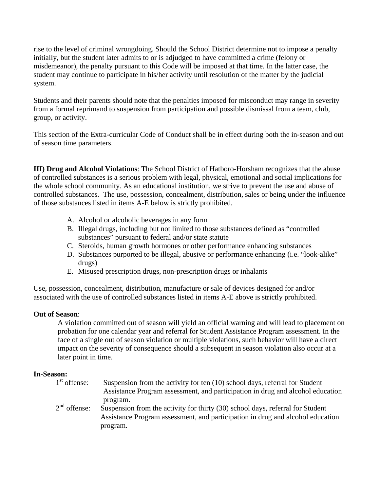rise to the level of criminal wrongdoing. Should the School District determine not to impose a penalty initially, but the student later admits to or is adjudged to have committed a crime (felony or misdemeanor), the penalty pursuant to this Code will be imposed at that time. In the latter case, the student may continue to participate in his/her activity until resolution of the matter by the judicial system.

Students and their parents should note that the penalties imposed for misconduct may range in severity from a formal reprimand to suspension from participation and possible dismissal from a team, club, group, or activity.

This section of the Extra-curricular Code of Conduct shall be in effect during both the in-season and out of season time parameters.

**III) Drug and Alcohol Violations**: The School District of Hatboro-Horsham recognizes that the abuse of controlled substances is a serious problem with legal, physical, emotional and social implications for the whole school community. As an educational institution, we strive to prevent the use and abuse of controlled substances. The use, possession, concealment, distribution, sales or being under the influence of those substances listed in items A-E below is strictly prohibited.

- A. Alcohol or alcoholic beverages in any form
- B. Illegal drugs, including but not limited to those substances defined as "controlled substances" pursuant to federal and/or state statute
- C. Steroids, human growth hormones or other performance enhancing substances
- D. Substances purported to be illegal, abusive or performance enhancing (i.e. "look-alike" drugs)
- E. Misused prescription drugs, non-prescription drugs or inhalants

Use, possession, concealment, distribution, manufacture or sale of devices designed for and/or associated with the use of controlled substances listed in items A-E above is strictly prohibited.

#### **Out of Season**:

A violation committed out of season will yield an official warning and will lead to placement on probation for one calendar year and referral for Student Assistance Program assessment. In the face of a single out of season violation or multiple violations, such behavior will have a direct impact on the severity of consequence should a subsequent in season violation also occur at a later point in time.

# In-Season:<br><sup>1st</sup> offense:

- Suspension from the activity for ten  $(10)$  school days, referral for Student Assistance Program assessment, and participation in drug and alcohol education program.  $2<sup>nd</sup>$  offense: Suspension from the activity for thirty (30) school days, referral for Student
	- Assistance Program assessment, and participation in drug and alcohol education program.